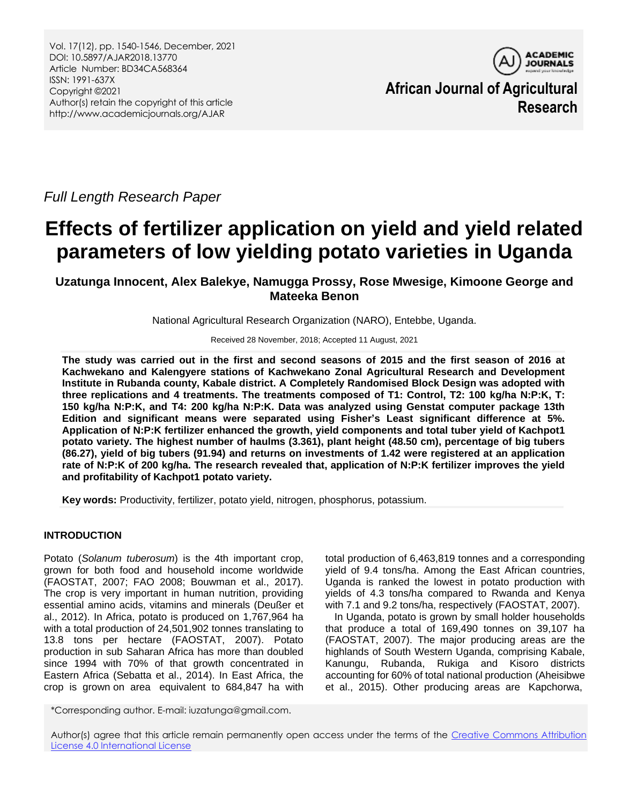

**African Journal of Agricultural Research**

*Full Length Research Paper*

# **Effects of fertilizer application on yield and yield related parameters of low yielding potato varieties in Uganda**

**Uzatunga Innocent, Alex Balekye, Namugga Prossy, Rose Mwesige, Kimoone George and Mateeka Benon**

National Agricultural Research Organization (NARO), Entebbe, Uganda.

Received 28 November, 2018; Accepted 11 August, 2021

**The study was carried out in the first and second seasons of 2015 and the first season of 2016 at Kachwekano and Kalengyere stations of Kachwekano Zonal Agricultural Research and Development Institute in Rubanda county, Kabale district. A Completely Randomised Block Design was adopted with three replications and 4 treatments. The treatments composed of T1: Control, T2: 100 kg/ha N:P:K, T: 150 kg/ha N:P:K, and T4: 200 kg/ha N:P:K. Data was analyzed using Genstat computer package 13th Edition and significant means were separated using Fisher's Least significant difference at 5%. Application of N:P:K fertilizer enhanced the growth, yield components and total tuber yield of Kachpot1 potato variety. The highest number of haulms (3.361), plant height (48.50 cm), percentage of big tubers (86.27), yield of big tubers (91.94) and returns on investments of 1.42 were registered at an application rate of N:P:K of 200 kg/ha. The research revealed that, application of N:P:K fertilizer improves the yield and profitability of Kachpot1 potato variety.**

**Key words:** Productivity, fertilizer, potato yield, nitrogen, phosphorus, potassium.

# **INTRODUCTION**

Potato (*Solanum tuberosum*) is the 4th important crop, grown for both food and household income worldwide (FAOSTAT, 2007; FAO 2008; Bouwman et al., 2017). The crop is very important in human nutrition, providing essential amino acids, vitamins and minerals (Deußer et al., 2012). In Africa, potato is produced on 1,767,964 ha with a total production of 24,501,902 tonnes translating to 13.8 tons per hectare (FAOSTAT, 2007). Potato production in sub Saharan Africa has more than doubled since 1994 with 70% of that growth concentrated in Eastern Africa (Sebatta et al., 2014). In East Africa, the crop is grown on area equivalent to 684,847 ha with

\*Corresponding author. E-mail: iuzatunga@gmail.com.

total production of 6,463,819 tonnes and a corresponding yield of 9.4 tons/ha. Among the East African countries, Uganda is ranked the lowest in potato production with yields of 4.3 tons/ha compared to Rwanda and Kenya with 7.1 and 9.2 tons/ha, respectively (FAOSTAT, 2007).

In Uganda, potato is grown by small holder households that produce a total of 169,490 tonnes on 39,107 ha (FAOSTAT, 2007). The major producing areas are the highlands of South Western Uganda, comprising Kabale, Kanungu, Rubanda, Rukiga and Kisoro districts accounting for 60% of total national production (Aheisibwe et al., 2015). Other producing areas are Kapchorwa,

Author(s) agree that this article remain permanently open access under the terms of the Creative Commons Attribution [License 4.0 International License](http://creativecommons.org/licenses/by/4.0/deed.en_US)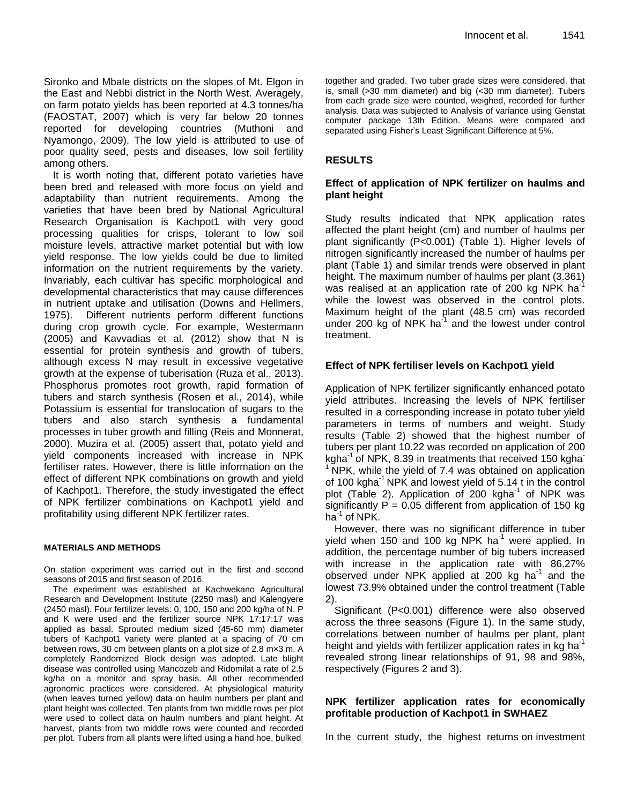Sironko and Mbale districts on the slopes of Mt. Elgon in the East and Nebbi district in the North West. Averagely, on farm potato yields has been reported at 4.3 tonnes/ha (FAOSTAT, 2007) which is very far below 20 tonnes reported for developing countries (Muthoni and Nyamongo, 2009). The low yield is attributed to use of poor quality seed, pests and diseases, low soil fertility among others.

It is worth noting that, different potato varieties have been bred and released with more focus on yield and adaptability than nutrient requirements. Among the varieties that have been bred by National Agricultural Research Organisation is Kachpot1 with very good processing qualities for crisps, tolerant to low soil moisture levels, attractive market potential but with low yield response. The low yields could be due to limited information on the nutrient requirements by the variety. Invariably, each cultivar has specific morphological and developmental characteristics that may cause differences in nutrient uptake and utilisation (Downs and Hellmers, 1975). Different nutrients perform different functions during crop growth cycle. For example, Westermann (2005) and Kavvadias et al. (2012) show that N is essential for protein synthesis and growth of tubers, although excess N may result in excessive vegetative growth at the expense of tuberisation (Ruza et al., 2013). Phosphorus promotes root growth, rapid formation of tubers and starch synthesis (Rosen et al., 2014), while Potassium is essential for translocation of sugars to the tubers and also starch synthesis a fundamental processes in tuber growth and filling (Reis and Monnerat, 2000). Muzira et al. (2005) assert that, potato yield and yield components increased with increase in NPK fertiliser rates. However, there is little information on the effect of different NPK combinations on growth and yield of Kachpot1. Therefore, the study investigated the effect of NPK fertilizer combinations on Kachpot1 yield and profitability using different NPK fertilizer rates.

#### **MATERIALS AND METHODS**

On station experiment was carried out in the first and second seasons of 2015 and first season of 2016.

The experiment was established at Kachwekano Agricultural Research and Development Institute (2250 masl) and Kalengyere (2450 masl). Four fertilizer levels: 0, 100, 150 and 200 kg/ha of N, P and K were used and the fertilizer source NPK 17:17:17 was applied as basal. Sprouted medium sized (45-60 mm) diameter tubers of Kachpot1 variety were planted at a spacing of 70 cm between rows, 30 cm between plants on a plot size of 2.8 m×3 m. A completely Randomized Block design was adopted. Late blight disease was controlled using Mancozeb and Ridomilat a rate of 2.5 kg/ha on a monitor and spray basis. All other recommended agronomic practices were considered. At physiological maturity (when leaves turned yellow) data on haulm numbers per plant and plant height was collected. Ten plants from two middle rows per plot were used to collect data on haulm numbers and plant height. At harvest, plants from two middle rows were counted and recorded per plot. Tubers from all plants were lifted using a hand hoe, bulked

together and graded. Two tuber grade sizes were considered, that is, small (>30 mm diameter) and big (<30 mm diameter). Tubers from each grade size were counted, weighed, recorded for further analysis. Data was subjected to Analysis of variance using Genstat computer package 13th Edition. Means were compared and separated using Fisher's Least Significant Difference at 5%.

## **RESULTS**

## **Effect of application of NPK fertilizer on haulms and plant height**

Study results indicated that NPK application rates affected the plant height (cm) and number of haulms per plant significantly (P<0.001) (Table 1). Higher levels of nitrogen significantly increased the number of haulms per plant (Table 1) and similar trends were observed in plant height. The maximum number of haulms per plant (3.361) was realised at an application rate of 200 kg NPK ha<sup>-1</sup> while the lowest was observed in the control plots. Maximum height of the plant (48.5 cm) was recorded under 200 kg of NPK ha $^{-1}$  and the lowest under control treatment.

## **Effect of NPK fertiliser levels on Kachpot1 yield**

Application of NPK fertilizer significantly enhanced potato yield attributes. Increasing the levels of NPK fertiliser resulted in a corresponding increase in potato tuber yield parameters in terms of numbers and weight. Study results (Table 2) showed that the highest number of tubers per plant 10.22 was recorded on application of 200 kgha $^{-1}$  of NPK, 8.39 in treatments that received 150 kgha $^{-1}$ <sup>1</sup>NPK, while the yield of 7.4 was obtained on application of 100 kgha<sup>-1</sup> NPK and lowest yield of 5.14 t in the control plot (Table 2). Application of 200 kgha<sup>-1</sup> of NPK was significantly  $P = 0.05$  different from application of 150 kg  $ha^{-1}$  of NPK.

However, there was no significant difference in tuber yield when 150 and 100 kg NPK ha<sup>-1</sup> were applied. In addition, the percentage number of big tubers increased with increase in the application rate with 86.27% observed under NPK applied at 200 kg ha $^{-1}$  and the lowest 73.9% obtained under the control treatment (Table 2).

Significant (P<0.001) difference were also observed across the three seasons (Figure 1). In the same study, correlations between number of haulms per plant, plant height and yields with fertilizer application rates in kg ha<sup>-1</sup> revealed strong linear relationships of 91, 98 and 98%, respectively (Figures 2 and 3).

## **NPK fertilizer application rates for economically profitable production of Kachpot1 in SWHAEZ**

In the current study, the highest returns on investment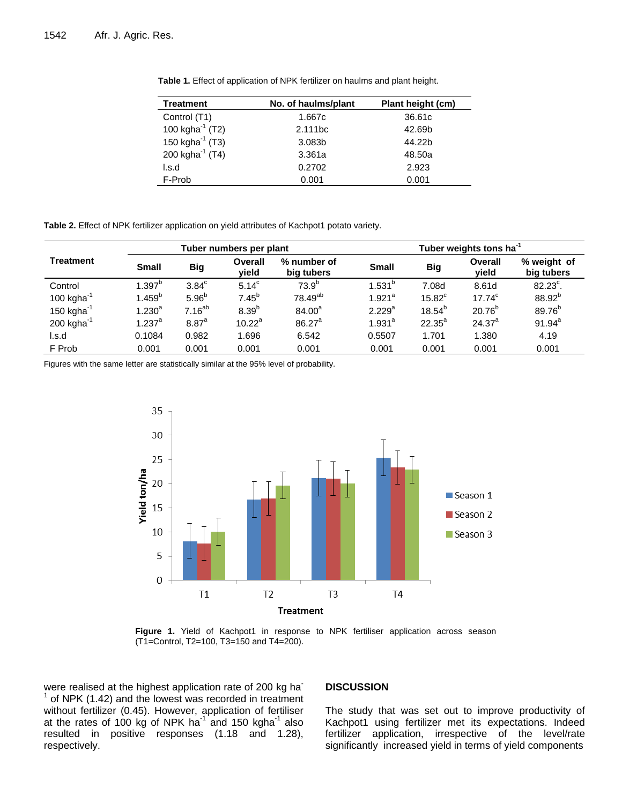| <b>Treatment</b>      | No. of haulms/plant | Plant height (cm) |  |  |
|-----------------------|---------------------|-------------------|--|--|
| Control (T1)          | 1.667c              | 36.61c            |  |  |
| 100 kgha $^{-1}$ (T2) | 2.111bc             | 42.69b            |  |  |
| 150 kgha $^{-1}$ (T3) | 3.083b              | 44.22b            |  |  |
| 200 kgha $^{-1}$ (T4) | 3.361a              | 48.50a            |  |  |
| l.s.d                 | 0.2702              | 2.923             |  |  |
| F-Prob                | 0.001               | 0.001             |  |  |

**Table 1.** Effect of application of NPK fertilizer on haulms and plant height.

**Table 2.** Effect of NPK fertilizer application on yield attributes of Kachpot1 potato variety.

|                          | Tuber numbers per plant |                     |                   | Tuber weights tons ha <sup>-1</sup> |                      |             |                  |                           |
|--------------------------|-------------------------|---------------------|-------------------|-------------------------------------|----------------------|-------------|------------------|---------------------------|
| <b>Treatment</b>         | <b>Small</b>            | <b>Big</b>          | Overall<br>yield  | % number of<br>big tubers           | <b>Small</b>         | <b>Big</b>  | Overall<br>vield | % weight of<br>big tubers |
| Control                  | $1.397^{\mathrm{b}}$    | $3.84^\circ$        | $5.14^{\circ}$    | $73.9^{b}$                          | $1.531^{b}$          | 7.08d       | 8.61d            | $82.23^{\circ}$ .         |
| 100 kgha $^{-1}$         | 1.459 <sup>b</sup>      | 5.96 <sup>b</sup>   | $7.45^{b}$        | 78.49 <sup>ab</sup>                 | $1.921$ <sup>a</sup> | $15.82^c$   | $17.74^c$        | 88.92 <sup>b</sup>        |
| 150 kgha $^{-1}$         | $1.230^{a}$             | $7.16^{ab}$         | 8.39 <sup>b</sup> | 84.00 <sup>a</sup>                  | 2.229 <sup>a</sup>   | $18.54^{b}$ | $20.76^{b}$      | 89.76 <sup>b</sup>        |
| $200$ kgha <sup>-1</sup> | $1.237$ <sup>a</sup>    | $8.87$ <sup>a</sup> | $10.22^a$         | $86.27^a$                           | $1.931^{a}$          | $22.35^a$   | $24.37^{a}$      | $91.94^a$                 |
| l.s.d                    | 0.1084                  | 0.982               | 1.696             | 6.542                               | 0.5507               | 1.701       | 1.380            | 4.19                      |
| F Prob                   | 0.001                   | 0.001               | 0.001             | 0.001                               | 0.001                | 0.001       | 0.001            | 0.001                     |

Figures with the same letter are statistically similar at the 95% level of probability.



Figure 1. Yield of Kachpot1 in response to NPK fertiliser application across season (T1=Control, T2=100, T3=150 and T4=200).

were realised at the highest application rate of 200 kg ha-1 of NPK (1.42) and the lowest was recorded in treatment without fertilizer (0.45). However, application of fertiliser at the rates of 100 kg of NPK ha<sup>1</sup> and 150 kgha<sup>1</sup> also resulted in positive responses (1.18 and 1.28), respectively.

## **DISCUSSION**

The study that was set out to improve productivity of Kachpot1 using fertilizer met its expectations. Indeed fertilizer application, irrespective of the level/rate significantly increased yield in terms of yield components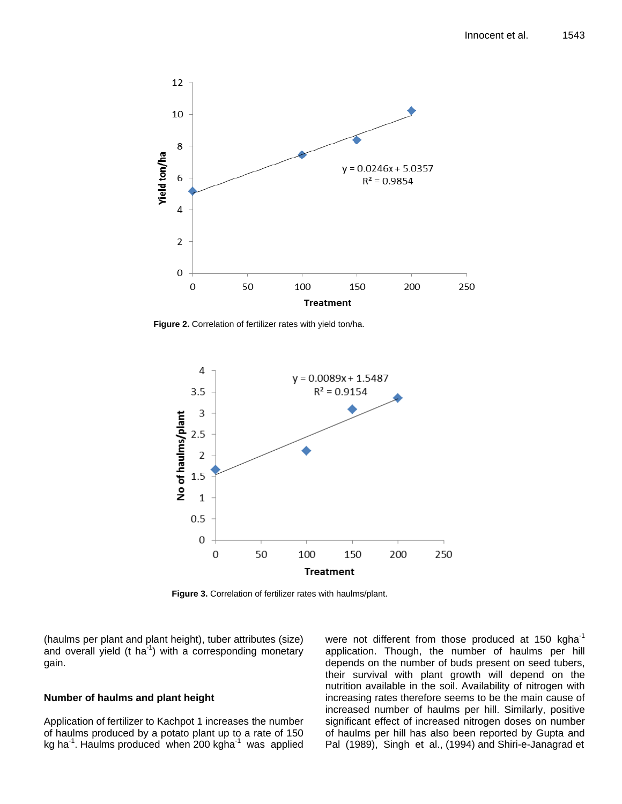

**Figure 2.** Correlation of fertilizer rates with yield ton/ha.



**Figure 3.** Correlation of fertilizer rates with haulms/plant.

(haulms per plant and plant height), tuber attributes (size) and overall yield (t ha<sup>-1</sup>) with a corresponding monetary gain.

## **Number of haulms and plant height**

Application of fertilizer to Kachpot 1 increases the number of haulms produced by a potato plant up to a rate of 150 kg ha<sup>-1</sup>. Haulms produced when 200 kgha<sup>-1</sup> was applied

were not different from those produced at 150 kgha $^{-1}$ application. Though, the number of haulms per hill depends on the number of buds present on seed tubers, their survival with plant growth will depend on the nutrition available in the soil. Availability of nitrogen with increasing rates therefore seems to be the main cause of increased number of haulms per hill. Similarly, positive significant effect of increased nitrogen doses on number of haulms per hill has also been reported by Gupta and Pal (1989), Singh et al., (1994) and Shiri-e-Janagrad et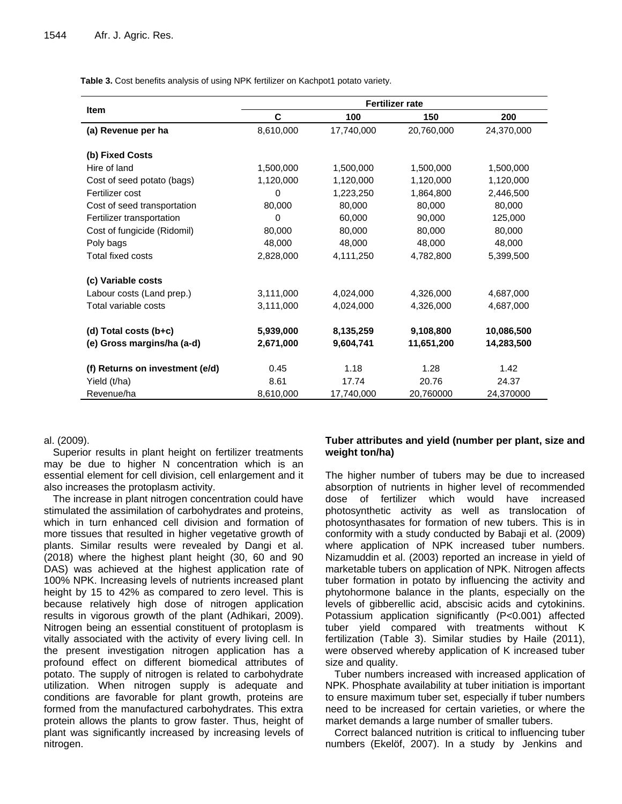**Table 3.** Cost benefits analysis of using NPK fertilizer on Kachpot1 potato variety.

|                                 | <b>Fertilizer rate</b> |            |            |            |  |  |  |
|---------------------------------|------------------------|------------|------------|------------|--|--|--|
| <b>Item</b>                     | C                      | 100        | 150        | 200        |  |  |  |
| (a) Revenue per ha              | 8,610,000              | 17,740,000 | 20,760,000 | 24,370,000 |  |  |  |
| (b) Fixed Costs                 |                        |            |            |            |  |  |  |
| Hire of land                    | 1,500,000              | 1,500,000  | 1,500,000  | 1,500,000  |  |  |  |
| Cost of seed potato (bags)      | 1,120,000              | 1,120,000  | 1,120,000  | 1,120,000  |  |  |  |
| Fertilizer cost                 | 0                      | 1,223,250  | 1,864,800  | 2,446,500  |  |  |  |
| Cost of seed transportation     | 80,000                 | 80,000     | 80,000     | 80,000     |  |  |  |
| Fertilizer transportation       | 0                      | 60,000     | 90,000     | 125,000    |  |  |  |
| Cost of fungicide (Ridomil)     | 80,000                 | 80,000     | 80,000     | 80,000     |  |  |  |
| Poly bags                       | 48,000                 | 48,000     | 48,000     | 48,000     |  |  |  |
| Total fixed costs               | 2,828,000              | 4,111,250  | 4,782,800  | 5,399,500  |  |  |  |
| (c) Variable costs              |                        |            |            |            |  |  |  |
| Labour costs (Land prep.)       | 3,111,000              | 4,024,000  | 4,326,000  | 4,687,000  |  |  |  |
| Total variable costs            | 3,111,000              | 4,024,000  | 4,326,000  | 4,687,000  |  |  |  |
| (d) Total costs (b+c)           | 5,939,000              | 8,135,259  | 9,108,800  | 10,086,500 |  |  |  |
| (e) Gross margins/ha (a-d)      | 2,671,000              | 9,604,741  | 11,651,200 | 14,283,500 |  |  |  |
| (f) Returns on investment (e/d) | 0.45                   | 1.18       | 1.28       | 1.42       |  |  |  |
| Yield (t/ha)                    | 8.61                   | 17.74      | 20.76      | 24.37      |  |  |  |
| Revenue/ha                      | 8,610,000              | 17,740,000 | 20,760000  | 24,370000  |  |  |  |

## al. (2009).

Superior results in plant height on fertilizer treatments may be due to higher N concentration which is an essential element for cell division, cell enlargement and it also increases the protoplasm activity.

The increase in plant nitrogen concentration could have stimulated the assimilation of carbohydrates and proteins, which in turn enhanced cell division and formation of more tissues that resulted in higher vegetative growth of plants. Similar results were revealed by Dangi et al. (2018) where the highest plant height (30, 60 and 90 DAS) was achieved at the highest application rate of 100% NPK. Increasing levels of nutrients increased plant height by 15 to 42% as compared to zero level. This is because relatively high dose of nitrogen application results in vigorous growth of the plant (Adhikari, 2009). Nitrogen being an essential constituent of protoplasm is vitally associated with the activity of every living cell. In the present investigation nitrogen application has a profound effect on different biomedical attributes of potato. The supply of nitrogen is related to carbohydrate utilization. When nitrogen supply is adequate and conditions are favorable for plant growth, proteins are formed from the manufactured carbohydrates. This extra protein allows the plants to grow faster. Thus, height of plant was significantly increased by increasing levels of nitrogen.

## **Tuber attributes and yield (number per plant, size and weight ton/ha)**

The higher number of tubers may be due to increased absorption of nutrients in higher level of recommended dose of fertilizer which would have increased photosynthetic activity as well as translocation of photosynthasates for formation of new tubers. This is in conformity with a study conducted by Babaji et al. (2009) where application of NPK increased tuber numbers. Nizamuddin et al. (2003) reported an increase in yield of marketable tubers on application of NPK. Nitrogen affects tuber formation in potato by influencing the activity and phytohormone balance in the plants, especially on the levels of gibberellic acid, abscisic acids and cytokinins. Potassium application significantly (P<0.001) affected tuber yield compared with treatments without K fertilization (Table 3). Similar studies by Haile (2011), were observed whereby application of K increased tuber size and quality.

Tuber numbers increased with increased application of NPK. Phosphate availability at tuber initiation is important to ensure maximum tuber set, especially if tuber numbers need to be increased for certain varieties, or where the market demands a large number of smaller tubers.

Correct balanced nutrition is critical to influencing tuber numbers (Ekelöf, 2007). In a study by Jenkins and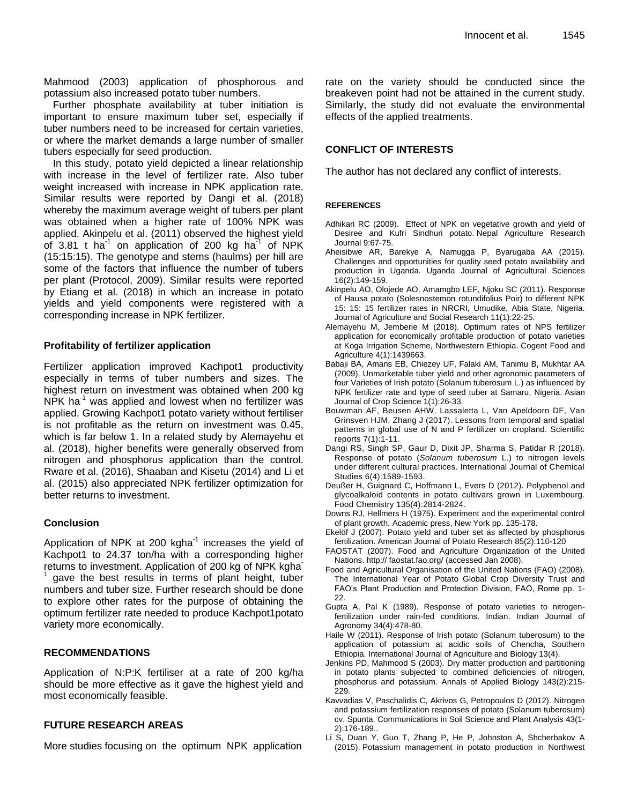Mahmood (2003) application of phosphorous and potassium also increased potato tuber numbers.

Further phosphate availability at tuber initiation is important to ensure maximum tuber set, especially if tuber numbers need to be increased for certain varieties, or where the market demands a large number of smaller tubers especially for seed production.

In this study, potato yield depicted a linear relationship with increase in the level of fertilizer rate. Also tuber weight increased with increase in NPK application rate. Similar results were reported by Dangi et al. (2018) whereby the maximum average weight of tubers per plant was obtained when a higher rate of 100% NPK was applied. Akinpelu et al. (2011) observed the highest yield of 3.81 t ha<sup>-1</sup> on application of 200 kg ha $^{-1}$  of NPK (15:15:15). The genotype and stems (haulms) per hill are some of the factors that influence the number of tubers per plant (Protocol, 2009). Similar results were reported by Etiang et al. (2018) in which an increase in potato yields and yield components were registered with a corresponding increase in NPK fertilizer.

## **Profitability of fertilizer application**

Fertilizer application improved Kachpot1 productivity especially in terms of tuber numbers and sizes. The highest return on investment was obtained when 200 kg  $NPK$  ha<sup>-1</sup> was applied and lowest when no fertilizer was applied. Growing Kachpot1 potato variety without fertiliser is not profitable as the return on investment was 0.45, which is far below 1. In a related study by Alemayehu et al. (2018), higher benefits were generally observed from nitrogen and phosphorus application than the control. Rware et al. (2016), Shaaban and Kisetu (2014) and Li et al. (2015) also appreciated NPK fertilizer optimization for better returns to investment.

#### **Conclusion**

Application of NPK at 200 kgha $^{-1}$  increases the yield of Kachpot1 to 24.37 ton/ha with a corresponding higher returns to investment. Application of 200 kg of NPK kgha<sup>-</sup> 1 gave the best results in terms of plant height, tuber numbers and tuber size. Further research should be done to explore other rates for the purpose of obtaining the optimum fertilizer rate needed to produce Kachpot1potato variety more economically.

## **RECOMMENDATIONS**

Application of N:P:K fertiliser at a rate of 200 kg/ha should be more effective as it gave the highest yield and most economically feasible.

## **FUTURE RESEARCH AREAS**

More studies focusing on the optimum NPK application

rate on the variety should be conducted since the breakeven point had not be attained in the current study. Similarly, the study did not evaluate the environmental effects of the applied treatments.

## **CONFLICT OF INTERESTS**

The author has not declared any conflict of interests.

#### **REFERENCES**

- Adhikari RC (2009). Effect of NPK on vegetative growth and yield of Desiree and Kufri Sindhuri potato. Nepal Agriculture Research Journal 9:67-75.
- Aheisibwe AR, Barekye A, Namugga P, Byarugaba AA (2015). Challenges and opportunities for quality seed potato availability and production in Uganda. Uganda Journal of Agricultural Sciences 16(2):149-159.
- Akinpelu AO, Olojede AO, Amamgbo LEF, Njoku SC (2011). Response of Hausa potato (Solesnostemon rotundifolius Poir) to different NPK 15: 15: 15 fertilizer rates in NRCRI, Umudike, Abia State, Nigeria. Journal of Agriculture and Social Research 11(1):22-25.
- Alemayehu M, Jemberie M (2018). Optimum rates of NPS fertilizer application for economically profitable production of potato varieties at Koga Irrigation Scheme, Northwestern Ethiopia. Cogent Food and Agriculture 4(1):1439663.
- Babaji BA, Amans EB, Chiezey UF, Falaki AM, Tanimu B, Mukhtar AA (2009). Unmarketable tuber yield and other agronomic parameters of four Varieties of Irish potato (Solanum tuberosum L.) as influenced by NPK fertilizer rate and type of seed tuber at Samaru, Nigeria. Asian Journal of Crop Science 1(1):26-33.
- Bouwman AF, Beusen AHW, Lassaletta L, Van Apeldoorn DF, Van Grinsven HJM, Zhang J (2017). Lessons from temporal and spatial patterns in global use of N and P fertilizer on cropland. Scientific reports 7(1):1-11.
- Dangi RS, Singh SP, Gaur D, Dixit JP, Sharma S, Patidar R (2018). Response of potato (*Solanum tuberosum* L.) to nitrogen levels under different cultural practices. International Journal of Chemical Studies 6(4):1589-1593.
- Deußer H, Guignard C, Hoffmann L, Evers D (2012). Polyphenol and glycoalkaloid contents in potato cultivars grown in Luxembourg. Food Chemistry 135(4):2814-2824.
- Downs RJ, Hellmers H (1975). Experiment and the experimental control of plant growth. Academic press, New York pp. 135-178.
- Ekelöf J (2007). Potato yield and tuber set as affected by phosphorus fertilization. American Journal of Potato Research 85(2):110-120
- FAOSTAT (2007). Food and Agriculture Organization of the United Nations. http:// faostat.fao.org/ (accessed Jan 2008).
- Food and Agricultural Organisation of the United Nations (FAO) (2008). The International Year of Potato Global Crop Diversity Trust and FAO's Plant Production and Protection Division, FAO, Rome pp. 1- 22.
- Gupta A, Pal K (1989). Response of potato varieties to nitrogenfertilization under rain-fed conditions. Indian. Indian Journal of Agronomy 34(4):478-80.
- Haile W (2011). Response of Irish potato (Solanum tuberosum) to the application of potassium at acidic soils of Chencha, Southern Ethiopia. International Journal of Agriculture and Biology 13(4).
- Jenkins PD, Mahmood S (2003). Dry matter production and partitioning in potato plants subjected to combined deficiencies of nitrogen, phosphorus and potassium. Annals of Applied Biology 143(2):215- 229.
- Kavvadias V, Paschalidis C, Akrivos G, Petropoulos D (2012). Nitrogen and potassium fertilization responses of potato (Solanum tuberosum) cv. Spunta. Communications in Soil Science and Plant Analysis 43(1- 2):176-189..
- Li S, Duan Y, Guo T, Zhang P, He P, Johnston A, Shcherbakov A (2015). Potassium management in potato production in Northwest